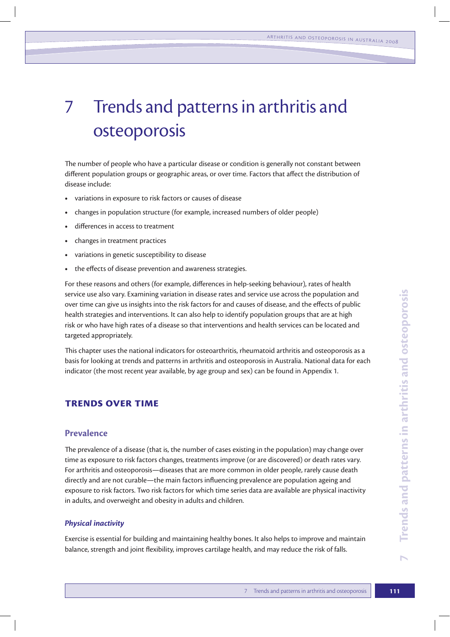# 7 Trends and patterns in arthritis and osteoporosis

The number of people who have a particular disease or condition is generally not constant between different population groups or geographic areas, or over time. Factors that affect the distribution of disease include:

- variations in exposure to risk factors or causes of disease
- **t** changes in population structure (for example, increased numbers of older people)
- **t** differences in access to treatment
- **t** changes in treatment practices
- variations in genetic susceptibility to disease
- **t** the effects of disease prevention and awareness strategies.

For these reasons and others (for example, differences in help-seeking behaviour), rates of health service use also vary. Examining variation in disease rates and service use across the population and over time can give us insights into the risk factors for and causes of disease, and the effects of public health strategies and interventions. It can also help to identify population groups that are at high risk or who have high rates of a disease so that interventions and health services can be located and targeted appropriately.

This chapter uses the national indicators for osteoarthritis, rheumatoid arthritis and osteoporosis as a basis for looking at trends and patterns in arthritis and osteoporosis in Australia. National data for each indicator (the most recent year available, by age group and sex) can be found in Appendix 1.

## **Trends over time**

# **Prevalence**

The prevalence of a disease (that is, the number of cases existing in the population) may change over time as exposure to risk factors changes, treatments improve (or are discovered) or death rates vary. For arthritis and osteoporosis—diseases that are more common in older people, rarely cause death directly and are not curable—the main factors influencing prevalence are population ageing and exposure to risk factors. Two risk factors for which time series data are available are physical inactivity in adults, and overweight and obesity in adults and children.

#### *Physical inactivity*

Exercise is essential for building and maintaining healthy bones. It also helps to improve and maintain balance, strength and joint flexibility, improves cartilage health, and may reduce the risk of falls.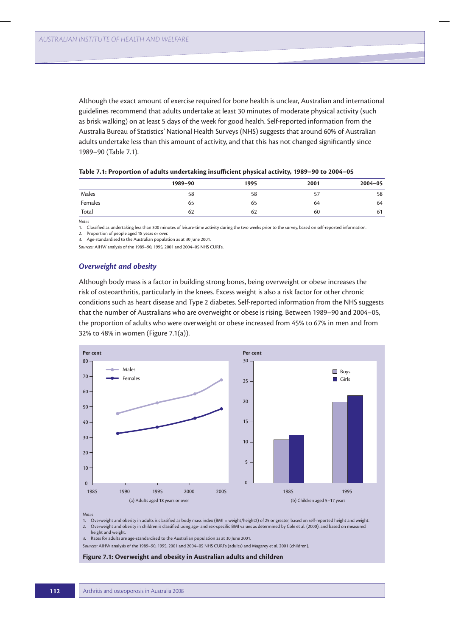Although the exact amount of exercise required for bone health is unclear, Australian and international guidelines recommend that adults undertake at least 30 minutes of moderate physical activity (such as brisk walking) on at least 5 days of the week for good health. Self-reported information from the Australia Bureau of Statistics' National Health Surveys (NHS) suggests that around 60% of Australian adults undertake less than this amount of activity, and that this has not changed significantly since 1989–90 (Table 7.1).

|         | 1989-90 | 1995 | 2001 | $2004 - 05$ |
|---------|---------|------|------|-------------|
| Males   | 58      | 58   | 57   | 58          |
| Females | 65      | 65   | 64   | 64          |
| Total   | 62      | 62   | 60   | 61          |

| Table 7.1: Proportion of adults undertaking insufficient physical activity, 1989-90 to 2004-05 |  |  |
|------------------------------------------------------------------------------------------------|--|--|
|------------------------------------------------------------------------------------------------|--|--|

*Notes*

1. Classified as undertaking less than 300 minutes of leisure-time activity during the two weeks prior to the survey, based on self-reported information.

2. Proportion of people aged 18 years or over.

3. Age-standardised to the Australian population as at 30 June 2001.

*Sources:* AIHW analysis of the 1989–90, 1995, 2001 and 2004–05 NHS CURFs.

#### *Overweight and obesity*

Although body mass is a factor in building strong bones, being overweight or obese increases the risk of osteoarthritis, particularly in the knees. Excess weight is also a risk factor for other chronic conditions such as heart disease and Type 2 diabetes. Self-reported information from the NHS suggests that the number of Australians who are overweight or obese is rising. Between 1989–90 and 2004–05, the proportion of adults who were overweight or obese increased from 45% to 67% in men and from 32% to 48% in women (Figure 7.1(a)).



*Notes*

- 1. Overweight and obesity in adults is classified as body mass index (BMI = weight/height2) of 25 or greater, based on self-reported height and weight. 2. Overweight and obesity in children is classified using age- and sex-specific BMI values as determined by Cole et al. (2000), and based on measured
- height and weight.

3. Rates for adults are age-standardised to the Australian population as at 30 June 2001.

*Sources:* AIHW analysis of the 1989–90, 1995, 2001 and 2004–05 NHS CURFs (adults) and Magarey et al. 2001 (children).

#### **Figure 7.1: Overweight and obesity in Australian adults and children**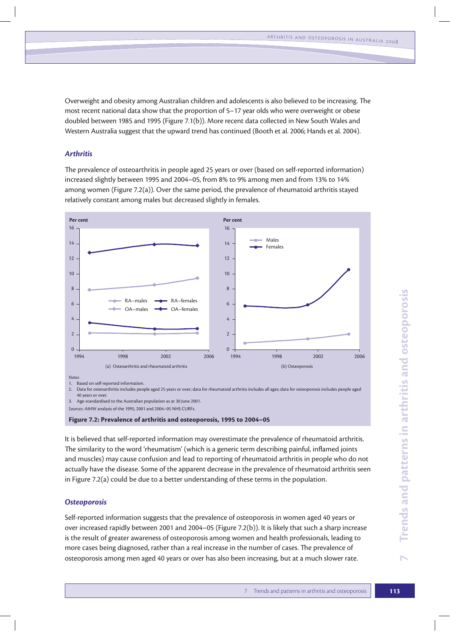Overweight and obesity among Australian children and adolescents is also believed to be increasing. The most recent national data show that the proportion of 5–17 year olds who were overweight or obese doubled between 1985 and 1995 (Figure 7.1(b)). More recent data collected in New South Wales and Western Australia suggest that the upward trend has continued (Booth et al. 2006; Hands et al. 2004).

### *Arthritis*

The prevalence of osteoarthritis in people aged 25 years or over (based on self-reported information) increased slightly between 1995 and 2004–05, from 8% to 9% among men and from 13% to 14% among women (Figure 7.2(a)). Over the same period, the prevalence of rheumatoid arthritis stayed relatively constant among males but decreased slightly in females.



2. Data for osteoarthritis includes people aged 25 years or over; data for rheumatoid arthritis includes all ages; data for osteoporosis includes people aged 40 years or over. 3. Age-standardised to the Australian population as at 30 June 2001.

*Sources:* AIHW analysis of the 1995, 2001 and 2004–05 NHS CURFs.

**Figure 7.2: Prevalence of arthritis and osteoporosis, 1995 to 2004–05**

It is believed that self-reported information may overestimate the prevalence of rheumatoid arthritis. The similarity to the word 'rheumatism' (which is a generic term describing painful, inflamed joints and muscles) may cause confusion and lead to reporting of rheumatoid arthritis in people who do not actually have the disease. Some of the apparent decrease in the prevalence of rheumatoid arthritis seen in Figure 7.2(a) could be due to a better understanding of these terms in the population.

#### *Osteoporosis*

Self-reported information suggests that the prevalence of osteoporosis in women aged 40 years or over increased rapidly between 2001 and 2004–05 (Figure 7.2(b)). It is likely that such a sharp increase is the result of greater awareness of osteoporosis among women and health professionals, leading to more cases being diagnosed, rather than a real increase in the number of cases. The prevalence of osteoporosis among men aged 40 years or over has also been increasing, but at a much slower rate.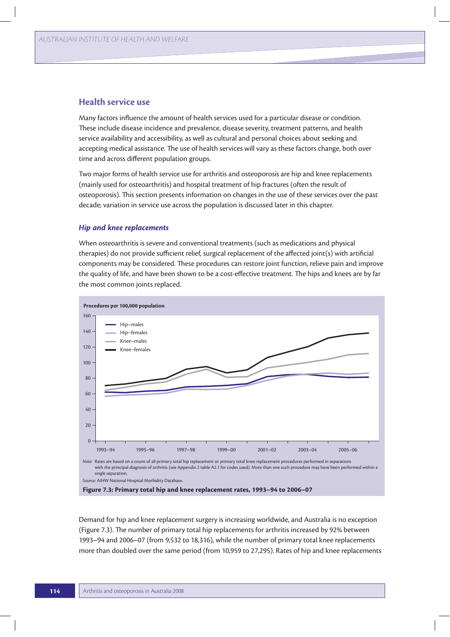## **Health service use**

Many factors influence the amount of health services used for a particular disease or condition. These include disease incidence and prevalence, disease severity, treatment patterns, and health service availability and accessibility, as well as cultural and personal choices about seeking and accepting medical assistance. The use of health services will vary as these factors change, both over time and across different population groups.

Two major forms of health service use for arthritis and osteoporosis are hip and knee replacements (mainly used for osteoarthritis) and hospital treatment of hip fractures (often the result of osteoporosis). This section presents information on changes in the use of these services over the past decade; variation in service use across the population is discussed later in this chapter.

#### *Hip and knee replacements*

When osteoarthritis is severe and conventional treatments (such as medications and physical therapies) do not provide sufficient relief, surgical replacement of the affected joint(s) with artificial components may be considered. These procedures can restore joint function, relieve pain and improve the quality of life, and have been shown to be a cost-effective treatment. The hips and knees are by far the most common joints replaced.



**Figure 7.3: Primary total hip and knee replacement rates, 1993–94 to 2006–07**

Demand for hip and knee replacement surgery is increasing worldwide, and Australia is no exception (Figure 7.3). The number of primary total hip replacements for arthritis increased by 92% between 1993–94 and 2006–07 (from 9,532 to 18,316), while the number of primary total knee replacements more than doubled over the same period (from 10,959 to 27,295). Rates of hip and knee replacements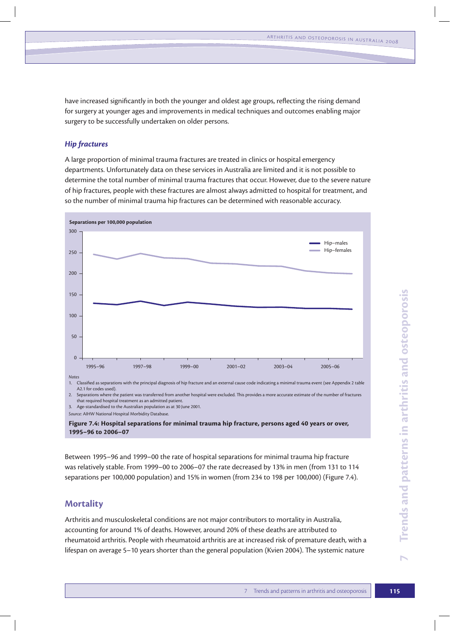have increased significantly in both the younger and oldest age groups, reflecting the rising demand for surgery at younger ages and improvements in medical techniques and outcomes enabling major surgery to be successfully undertaken on older persons.

## *Hip fractures*

A large proportion of minimal trauma fractures are treated in clinics or hospital emergency departments. Unfortunately data on these services in Australia are limited and it is not possible to determine the total number of minimal trauma fractures that occur. However, due to the severe nature of hip fractures, people with these fractures are almost always admitted to hospital for treatment, and so the number of minimal trauma hip fractures can be determined with reasonable accuracy.



*Source:* AIHW National Hospital Morbidity Database.

**Figure 7.4: Hospital separations for minimal trauma hip fracture, persons aged 40 years or over, 1995–96 to 2006–07**

Between 1995–96 and 1999–00 the rate of hospital separations for minimal trauma hip fracture was relatively stable. From 1999–00 to 2006–07 the rate decreased by 13% in men (from 131 to 114 separations per 100,000 population) and 15% in women (from 234 to 198 per 100,000) (Figure 7.4).

## **Mortality**

Arthritis and musculoskeletal conditions are not major contributors to mortality in Australia, accounting for around 1% of deaths. However, around 20% of these deaths are attributed to rheumatoid arthritis. People with rheumatoid arthritis are at increased risk of premature death, with a lifespan on average 5–10 years shorter than the general population (Kvien 2004). The systemic nature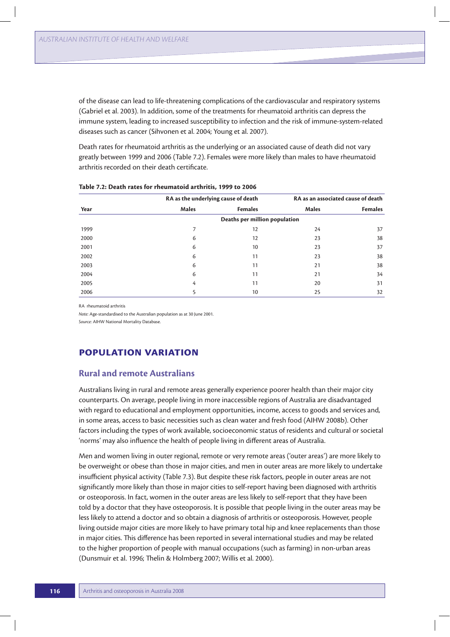of the disease can lead to life-threatening complications of the cardiovascular and respiratory systems (Gabriel et al. 2003). In addition, some of the treatments for rheumatoid arthritis can depress the immune system, leading to increased susceptibility to infection and the risk of immune-system-related diseases such as cancer (Sihvonen et al. 2004; Young et al. 2007).

Death rates for rheumatoid arthritis as the underlying or an associated cause of death did not vary greatly between 1999 and 2006 (Table 7.2). Females were more likely than males to have rheumatoid arthritis recorded on their death certificate.

|      | RA as the underlying cause of death |                               | RA as an associated cause of death |                |  |
|------|-------------------------------------|-------------------------------|------------------------------------|----------------|--|
| Year | <b>Males</b>                        | <b>Females</b>                | <b>Males</b>                       | <b>Females</b> |  |
|      |                                     | Deaths per million population |                                    |                |  |
| 1999 |                                     | 12                            | 24                                 | 37             |  |
| 2000 | 6                                   | 12                            | 23                                 | 38             |  |
| 2001 | 6                                   | 10                            | 23                                 | 37             |  |
| 2002 | 6                                   | 11                            | 23                                 | 38             |  |
| 2003 | 6                                   | 11                            | 21                                 | 38             |  |
| 2004 | 6                                   | 11                            | 21                                 | 34             |  |
| 2005 | 4                                   | 11                            | 20                                 | 31             |  |
| 2006 |                                     | 10                            | 25                                 | 32             |  |

| Table 7.2: Death rates for rheumatoid arthritis, 1999 to 2006 |  |  |  |  |  |  |  |  |  |  |
|---------------------------------------------------------------|--|--|--|--|--|--|--|--|--|--|
|---------------------------------------------------------------|--|--|--|--|--|--|--|--|--|--|

RA rheumatoid arthritis

*Note:* Age-standardised to the Australian population as at 30 June 2001.

*Source:* AIHW National Mortality Database.

# **Population variation**

## **Rural and remote Australians**

Australians living in rural and remote areas generally experience poorer health than their major city counterparts. On average, people living in more inaccessible regions of Australia are disadvantaged with regard to educational and employment opportunities, income, access to goods and services and, in some areas, access to basic necessities such as clean water and fresh food (AIHW 2008b). Other factors including the types of work available, socioeconomic status of residents and cultural or societal 'norms' may also influence the health of people living in different areas of Australia.

Men and women living in outer regional, remote or very remote areas ('outer areas') are more likely to be overweight or obese than those in major cities, and men in outer areas are more likely to undertake insufficient physical activity (Table 7.3). But despite these risk factors, people in outer areas are not significantly more likely than those in major cities to self-report having been diagnosed with arthritis or osteoporosis. In fact, women in the outer areas are less likely to self-report that they have been told by a doctor that they have osteoporosis. It is possible that people living in the outer areas may be less likely to attend a doctor and so obtain a diagnosis of arthritis or osteoporosis. However, people living outside major cities are more likely to have primary total hip and knee replacements than those in major cities. This difference has been reported in several international studies and may be related to the higher proportion of people with manual occupations (such as farming) in non-urban areas (Dunsmuir et al. 1996; Thelin & Holmberg 2007; Willis et al. 2000).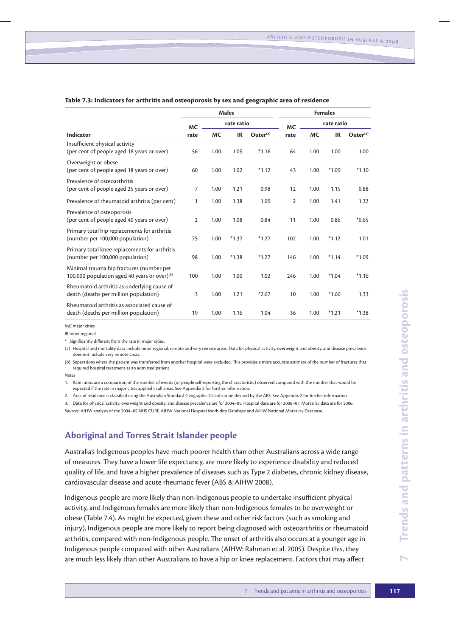|                                                                                             | <b>Males</b>   |           | <b>Females</b> |                      |              |            |           |                      |
|---------------------------------------------------------------------------------------------|----------------|-----------|----------------|----------------------|--------------|------------|-----------|----------------------|
|                                                                                             | <b>MC</b>      |           | rate ratio     |                      | <b>MC</b>    | rate ratio |           |                      |
| Indicator                                                                                   | rate           | <b>MC</b> | <b>IR</b>      | Outer <sup>(a)</sup> | rate         | МC         | <b>IR</b> | Outer <sup>(a)</sup> |
| Insufficient physical activity<br>(per cent of people aged 18 years or over)                | 56             | 1.00      | 1.05           | $*1.16$              | 64           | 1.00       | 1.00      | 1.00                 |
| Overweight or obese<br>(per cent of people aged 18 years or over)                           | 60             | 1.00      | 1.02           | $*1.12$              | 43           | 1.00       | $*1.09$   | $*1.10$              |
| Prevalence of osteoarthritis<br>(per cent of people aged 25 years or over)                  | 7              | 1.00      | 1.21           | 0.98                 | 12           | 1.00       | 1.15      | 0.88                 |
| Prevalence of rheumatoid arthritis (per cent)                                               | 1              | 1.00      | 1.38           | 1.09                 | $\mathbf{2}$ | 1.00       | 1.41      | 1.32                 |
| Prevalence of osteoporosis<br>(per cent of people aged 40 years or over)                    | $\overline{2}$ | 1.00      | 1.08           | 0.84                 | 11           | 1.00       | 0.86      | $*0.65$              |
| Primary total hip replacements for arthritis<br>(number per 100,000 population)             | 75             | 1.00      | $*1.37$        | $*1.27$              | 102          | 1.00       | $*1.12$   | 1.01                 |
| Primary total knee replacements for arthritis<br>(number per 100,000 population)            | 98             | 1.00      | $*1.38$        | $*1.27$              | 146          | 1.00       | $*1.14$   | $*1.09$              |
| Minimal trauma hip fractures (number per<br>100,000 population aged 40 years or over) $(b)$ | 100            | 1.00      | 1.00           | 1.02                 | 246          | 1.00       | $*1.04$   | $*1.16$              |
| Rheumatoid arthritis as underlying cause of<br>death (deaths per million population)        | 3              | 1.00      | 1.21           | $*2.67$              | 10           | 1.00       | $*1.60$   | 1.33                 |
| Rheumatoid arthritis as associated cause of<br>death (deaths per million population)        | 19             | 1.00      | 1.16           | 1.04                 | 36           | 1.00       | $*1.21$   | $*1.38$              |

#### **Table 7.3: Indicators for arthritis and osteoporosis by sex and geographic area of residence**

MC major cities

IR inner regional

\* Significantly different from the rate in major cities.

(a) Hospital and mortality data include outer regional, remote and very remote areas. Data for physical activity, overweight and obesity, and disease prevalence does not include very remote areas.

(b) Separations where the patient was transferred from another hospital were excluded. This provides a more accurate estimate of the number of fractures that required hospital treatment as an admitted patient.

*Notes*

1. Rate ratios are a comparison of the number of events (or people self-reporting the characteristic) observed compared with the number that would be expected if the rate in major cities applied in all areas. See Appendix 2 for further information.

2. Area of residence is classified using the Australian Standard Geographic Classification devised by the ABS. See Appendix 2 for further information.

3. Data for physical activity, overweight and obesity, and disease prevalence are for 2004–05. Hospital data are for 2006–07. Mortality data are for 2006. *Sources:* AIHW analysis of the 2004–05 NHS CURF, AIHW National Hospital Morbidity Database and AIHW National Mortality Database.

# **Aboriginal and Torres Strait Islander people**

Australia's Indigenous peoples have much poorer health than other Australians across a wide range of measures. They have a lower life expectancy, are more likely to experience disability and reduced quality of life, and have a higher prevalence of diseases such as Type 2 diabetes, chronic kidney disease, cardiovascular disease and acute rheumatic fever (ABS & AIHW 2008).

\*2.67 10 1.00 \*1.60 1.33<br>
1.04 36 1.00 \*1.21 \*1.38<br>
1.04 36 1.00 \*1.21 \*1.38<br>
physical activity, overweight and obesity, and disease prevalence<br>
rovides a more accurate estimate of the number of fractures that<br>
resitci o Indigenous people are more likely than non-Indigenous people to undertake insufficient physical activity, and Indigenous females are more likely than non-Indigenous females to be overweight or obese (Table 7.4). As might be expected, given these and other risk factors (such as smoking and injury), Indigenous people are more likely to report being diagnosed with osteoarthritis or rheumatoid arthritis, compared with non-Indigenous people. The onset of arthritis also occurs at a younger age in Indigenous people compared with other Australians (AIHW: Rahman et al. 2005). Despite this, they are much less likely than other Australians to have a hip or knee replacement. Factors that may affect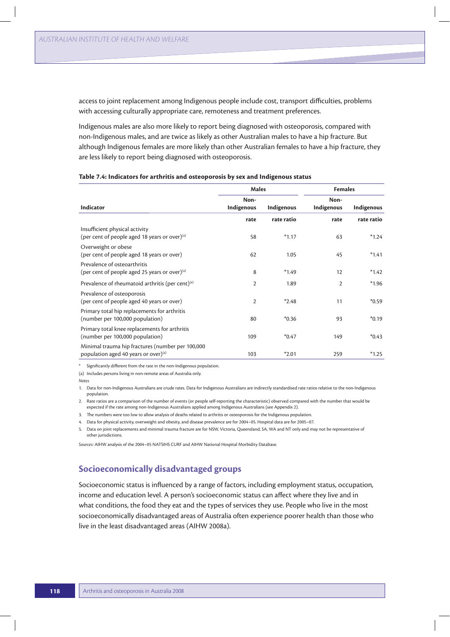access to joint replacement among Indigenous people include cost, transport difficulties, problems with accessing culturally appropriate care, remoteness and treatment preferences.

Indigenous males are also more likely to report being diagnosed with osteoporosis, compared with non-Indigenous males, and are twice as likely as other Australian males to have a hip fracture. But although Indigenous females are more likely than other Australian females to have a hip fracture, they are less likely to report being diagnosed with osteoporosis.

|                                                                                          | <b>Males</b>       |            | <b>Females</b>     |            |  |
|------------------------------------------------------------------------------------------|--------------------|------------|--------------------|------------|--|
| Indicator                                                                                | Non-<br>Indigenous | Indigenous | Non-<br>Indigenous | Indigenous |  |
|                                                                                          | rate               | rate ratio | rate               | rate ratio |  |
| Insufficient physical activity<br>(per cent of people aged 18 years or over) $(a)$       | 58                 | $*1.17$    | 63                 | $*1.24$    |  |
| Overweight or obese<br>(per cent of people aged 18 years or over)                        | 62                 | 1.05       | 45                 | $*1.41$    |  |
| Prevalence of osteoarthritis<br>(per cent of people aged 25 years or over) $(a)$         | 8                  | $*1.49$    | 12                 | $*1.42$    |  |
| Prevalence of rheumatoid arthritis (per cent) <sup>(a)</sup>                             | $\overline{2}$     | 1.89       | $\overline{2}$     | $*1.96$    |  |
| Prevalence of osteoporosis<br>(per cent of people aged 40 years or over)                 | $\overline{2}$     | $*2.48$    | 11                 | $*0.59$    |  |
| Primary total hip replacements for arthritis<br>(number per 100,000 population)          | 80                 | $*0.36$    | 93                 | $*0.19$    |  |
| Primary total knee replacements for arthritis<br>(number per 100,000 population)         | 109                | $*0.47$    | 149                | $*0.43$    |  |
| Minimal trauma hip fractures (number per 100,000<br>population aged 40 years or over)(a) | 103                | $*2.01$    | 259                | $*1.25$    |  |

#### **Table 7.4: Indicators for arthritis and osteoporosis by sex and Indigenous status**

\* Significantly different from the rate in the non-Indigenous population.

(a) Includes persons living in non-remote areas of Australia only.

*Notes*

1. Data for non-Indigenous Australians are crude rates. Data for Indigenous Australians are indirectly standardised rate ratios relative to the non-Indigenous population.

2. Rate ratios are a comparison of the number of events (or people self-reporting the characteristic) observed compared with the number that would be expected if the rate among non-Indigenous Australians applied among Indigenous Australians (see Appendix 2).

3. The numbers were too low to allow analysis of deaths related to arthritis or osteoporosis for the Indigenous population.

4. Data for physical activity, overweight and obesity, and disease prevalence are for 2004–05. Hospital data are for 2005–07.

5. Data on joint replacements and minimal trauma fracture are for NSW, Victoria, Queensland, SA, WA and NT only and may not be representative of other jurisdictions.

*Sources:* AIHW analysis of the 2004–05 NATSIHS CURF and AIHW National Hospital Morbidity Database.

## **Socioeconomically disadvantaged groups**

Socioeconomic status is influenced by a range of factors, including employment status, occupation, income and education level. A person's socioeconomic status can affect where they live and in what conditions, the food they eat and the types of services they use. People who live in the most socioeconomically disadvantaged areas of Australia often experience poorer health than those who live in the least disadvantaged areas (AIHW 2008a).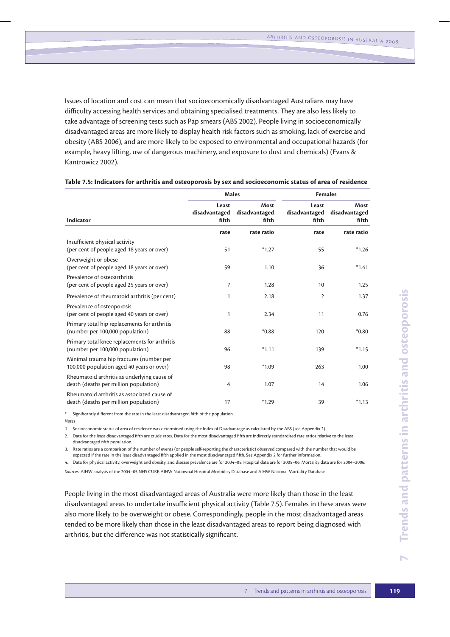Issues of location and cost can mean that socioeconomically disadvantaged Australians may have difficulty accessing health services and obtaining specialised treatments. They are also less likely to take advantage of screening tests such as Pap smears (ABS 2002). People living in socioeconomically disadvantaged areas are more likely to display health risk factors such as smoking, lack of exercise and obesity (ABS 2006), and are more likely to be exposed to environmental and occupational hazards (for example, heavy lifting, use of dangerous machinery, and exposure to dust and chemicals) (Evans & Kantrowicz 2002).

|                                                                                                                                                                                                                                                                                                                                                                                                                                                                                                                                                                                                                                                                                                                                                                                                                                                                                                                                                                                                                                                             |                                 |                                | <b>Males</b><br><b>Females</b>                    |                                |  |  |  |
|-------------------------------------------------------------------------------------------------------------------------------------------------------------------------------------------------------------------------------------------------------------------------------------------------------------------------------------------------------------------------------------------------------------------------------------------------------------------------------------------------------------------------------------------------------------------------------------------------------------------------------------------------------------------------------------------------------------------------------------------------------------------------------------------------------------------------------------------------------------------------------------------------------------------------------------------------------------------------------------------------------------------------------------------------------------|---------------------------------|--------------------------------|---------------------------------------------------|--------------------------------|--|--|--|
| Indicator                                                                                                                                                                                                                                                                                                                                                                                                                                                                                                                                                                                                                                                                                                                                                                                                                                                                                                                                                                                                                                                   | Least<br>disadvantaged<br>fifth | Most<br>disadvantaged<br>fifth | Least<br>disadvantaged<br>fifth                   | Most<br>disadvantaged<br>fifth |  |  |  |
|                                                                                                                                                                                                                                                                                                                                                                                                                                                                                                                                                                                                                                                                                                                                                                                                                                                                                                                                                                                                                                                             | rate                            | rate ratio                     | rate                                              | rate ratio                     |  |  |  |
| Insufficient physical activity<br>(per cent of people aged 18 years or over)                                                                                                                                                                                                                                                                                                                                                                                                                                                                                                                                                                                                                                                                                                                                                                                                                                                                                                                                                                                | 51                              | $*1.27$                        | 55                                                | $*1.26$                        |  |  |  |
| Overweight or obese<br>(per cent of people aged 18 years or over)                                                                                                                                                                                                                                                                                                                                                                                                                                                                                                                                                                                                                                                                                                                                                                                                                                                                                                                                                                                           | 59                              | 1.10                           | 36                                                | $*1.41$                        |  |  |  |
| Prevalence of osteoarthritis<br>(per cent of people aged 25 years or over)                                                                                                                                                                                                                                                                                                                                                                                                                                                                                                                                                                                                                                                                                                                                                                                                                                                                                                                                                                                  | 7                               | 1.28                           | 10                                                | 1.25                           |  |  |  |
| Prevalence of rheumatoid arthritis (per cent)                                                                                                                                                                                                                                                                                                                                                                                                                                                                                                                                                                                                                                                                                                                                                                                                                                                                                                                                                                                                               | $\mathbf{1}$                    | 2.18                           | 2                                                 | 1.37                           |  |  |  |
| Prevalence of osteoporosis<br>(per cent of people aged 40 years or over)                                                                                                                                                                                                                                                                                                                                                                                                                                                                                                                                                                                                                                                                                                                                                                                                                                                                                                                                                                                    | $\mathbf{1}$                    | 2.34                           | 11                                                | 0.76                           |  |  |  |
| Primary total hip replacements for arthritis<br>(number per 100,000 population)                                                                                                                                                                                                                                                                                                                                                                                                                                                                                                                                                                                                                                                                                                                                                                                                                                                                                                                                                                             | 88                              | $*0.88$                        | 120                                               | $*0.80$                        |  |  |  |
| Primary total knee replacements for arthritis<br>(number per 100,000 population)                                                                                                                                                                                                                                                                                                                                                                                                                                                                                                                                                                                                                                                                                                                                                                                                                                                                                                                                                                            | 96                              | $*1.11$                        | 139                                               | $*1.15$                        |  |  |  |
| Minimal trauma hip fractures (number per<br>100,000 population aged 40 years or over)                                                                                                                                                                                                                                                                                                                                                                                                                                                                                                                                                                                                                                                                                                                                                                                                                                                                                                                                                                       | 98                              | $*1.09$                        | 263                                               | 1.00                           |  |  |  |
| Rheumatoid arthritis as underlying cause of<br>death (deaths per million population)                                                                                                                                                                                                                                                                                                                                                                                                                                                                                                                                                                                                                                                                                                                                                                                                                                                                                                                                                                        | 4                               | 1.07                           | 14                                                | 1.06                           |  |  |  |
| Rheumatoid arthritis as associated cause of<br>death (deaths per million population)                                                                                                                                                                                                                                                                                                                                                                                                                                                                                                                                                                                                                                                                                                                                                                                                                                                                                                                                                                        | 17                              | $*1.29$                        | 39                                                | $*1.13$                        |  |  |  |
| Significantly different from the rate in the least disadvantaged fifth of the population.<br>Notes<br>1. Socioeconomic status of area of residence was determined using the Index of Disadvantage as calculated by the ABS (see Appendix 2).<br>2. Data for the least disadvantaged fifth are crude rates. Data for the most disadvantaged fifth are indirectly standardised rate ratios relative to the least<br>disadvantaged fifth population.<br>3. Rate ratios are a comparison of the number of events (or people self-reporting the characteristic) observed compared with the number that would be<br>expected if the rate in the least disadvantaged fifth applied in the most disadvantaged fifth. See Appendix 2 for further information.<br>4. Data for physical activity, overweight and obesity, and disease prevalence are for 2004–05. Hospital data are for 2005–06. Mortality data are for 2004–2006.<br>Sources: AIHW analysis of the 2004–05 NHS CURF, AIHW Natiownal Hospital Morbidity Database and AIHW National Mortality Database. |                                 |                                |                                                   |                                |  |  |  |
| People living in the most disadvantaged areas of Australia were more likely than those in the least<br>disadvantaged areas to undertake insufficient physical activity (Table 7.5). Females in these areas were<br>also more likely to be overweight or obese. Correspondingly, people in the most disadvantaged areas<br>tended to be more likely than those in the least disadvantaged areas to report being diagnosed with<br>arthritis, but the difference was not statistically significant.                                                                                                                                                                                                                                                                                                                                                                                                                                                                                                                                                           |                                 |                                |                                                   |                                |  |  |  |
|                                                                                                                                                                                                                                                                                                                                                                                                                                                                                                                                                                                                                                                                                                                                                                                                                                                                                                                                                                                                                                                             |                                 |                                |                                                   |                                |  |  |  |
|                                                                                                                                                                                                                                                                                                                                                                                                                                                                                                                                                                                                                                                                                                                                                                                                                                                                                                                                                                                                                                                             |                                 |                                | Trends and patterns in arthritis and osteoporosis |                                |  |  |  |

#### **Table 7.5: Indicators for arthritis and osteoporosis by sex and socioeconomic status of area of residence**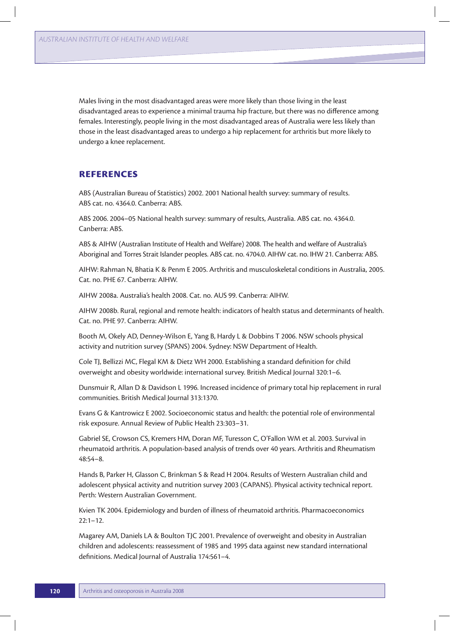Males living in the most disadvantaged areas were more likely than those living in the least disadvantaged areas to experience a minimal trauma hip fracture, but there was no difference among females. Interestingly, people living in the most disadvantaged areas of Australia were less likely than those in the least disadvantaged areas to undergo a hip replacement for arthritis but more likely to undergo a knee replacement.

## **References**

ABS (Australian Bureau of Statistics) 2002. 2001 National health survey: summary of results. ABS cat. no. 4364.0. Canberra: ABS.

ABS 2006. 2004–05 National health survey: summary of results, Australia. ABS cat. no. 4364.0. Canberra: ABS.

ABS & AIHW (Australian Institute of Health and Welfare) 2008. The health and welfare of Australia's Aboriginal and Torres Strait Islander peoples. ABS cat. no. 4704.0. AIHW cat. no. IHW 21. Canberra: ABS.

AIHW: Rahman N, Bhatia K & Penm E 2005. Arthritis and musculoskeletal conditions in Australia, 2005. Cat. no. PHE 67. Canberra: AIHW.

AIHW 2008a. Australia's health 2008. Cat. no. AUS 99. Canberra: AIHW.

AIHW 2008b. Rural, regional and remote health: indicators of health status and determinants of health. Cat. no. PHE 97. Canberra: AIHW.

Booth M, Okely AD, Denney-Wilson E, Yang B, Hardy L & Dobbins T 2006. NSW schools physical activity and nutrition survey (SPANS) 2004. Sydney: NSW Department of Health.

Cole TJ, Bellizzi MC, Flegal KM & Dietz WH 2000. Establishing a standard definition for child overweight and obesity worldwide: international survey. British Medical Journal 320:1–6.

Dunsmuir R, Allan D & Davidson L 1996. Increased incidence of primary total hip replacement in rural communities. British Medical Journal 313:1370.

Evans G & Kantrowicz E 2002. Socioeconomic status and health: the potential role of environmental risk exposure. Annual Review of Public Health 23:303–31.

Gabriel SE, Crowson CS, Kremers HM, Doran MF, Turesson C, O'Fallon WM et al. 2003. Survival in rheumatoid arthritis. A population-based analysis of trends over 40 years. Arthritis and Rheumatism 48:54–8.

Hands B, Parker H, Glasson C, Brinkman S & Read H 2004. Results of Western Australian child and adolescent physical activity and nutrition survey 2003 (CAPANS). Physical activity technical report. Perth: Western Australian Government.

Kvien TK 2004. Epidemiology and burden of illness of rheumatoid arthritis. Pharmacoeconomics  $22:1 - 12.$ 

Magarey AM, Daniels LA & Boulton TJC 2001. Prevalence of overweight and obesity in Australian children and adolescents: reassessment of 1985 and 1995 data against new standard international definitions. Medical Journal of Australia 174:561–4.